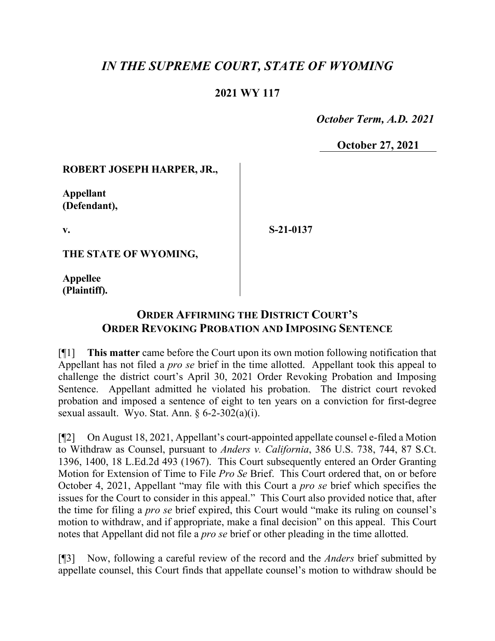# *IN THE SUPREME COURT, STATE OF WYOMING*

### **2021 WY 117**

 *October Term, A.D. 2021*

**October 27, 2021**

#### **ROBERT JOSEPH HARPER, JR.,**

**Appellant (Defendant),**

**v.**

**S-21-0137**

**THE STATE OF WYOMING,**

**Appellee (Plaintiff).**

## **ORDER AFFIRMING THE DISTRICT COURT'S ORDER REVOKING PROBATION AND IMPOSING SENTENCE**

[¶1] **This matter** came before the Court upon its own motion following notification that Appellant has not filed a *pro se* brief in the time allotted. Appellant took this appeal to challenge the district court's April 30, 2021 Order Revoking Probation and Imposing Sentence. Appellant admitted he violated his probation. The district court revoked probation and imposed a sentence of eight to ten years on a conviction for first-degree sexual assault. Wyo. Stat. Ann.  $\S 6-2-302(a)(i)$ .

[¶2] On August 18, 2021, Appellant's court-appointed appellate counsel e-filed a Motion to Withdraw as Counsel, pursuant to *Anders v. California*, 386 U.S. 738, 744, 87 S.Ct. 1396, 1400, 18 L.Ed.2d 493 (1967). This Court subsequently entered an Order Granting Motion for Extension of Time to File *Pro Se* Brief. This Court ordered that, on or before October 4, 2021, Appellant "may file with this Court a *pro se* brief which specifies the issues for the Court to consider in this appeal." This Court also provided notice that, after the time for filing a *pro se* brief expired, this Court would "make its ruling on counsel's motion to withdraw, and if appropriate, make a final decision" on this appeal. This Court notes that Appellant did not file a *pro se* brief or other pleading in the time allotted.

[¶3] Now, following a careful review of the record and the *Anders* brief submitted by appellate counsel, this Court finds that appellate counsel's motion to withdraw should be